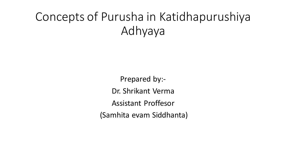# Concepts of Purusha in Katidhapurushiya Adhyaya

Prepared by:- Dr. Shrikant Verma Assistant Proffesor (Samhita evam Siddhanta)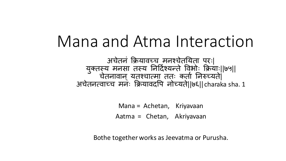# Mana and Atma Interaction

अचेतनं क्रियावच्च मनश्चेतययता परः| युक्तस्य मनसा तस्य निर्दिश्यन्ते विभोः क्रियाः||७५|| चेतनावान् यूतश्चात्मा ततः कर्ता निरुच्यते| अचेतनत्वाच्च मनेः क्रियावदपि नोच्यते||७६|| charaka sha. 1

> Mana = Achetan, Kriyavaan Aatma = Chetan, Akriyavaan

Bothe together works as Jeevatma or Purusha.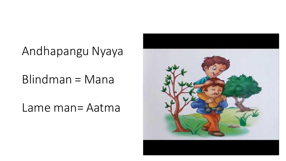# Andhapangu Nyaya

#### Blindman = Mana

Lame man= Aatma

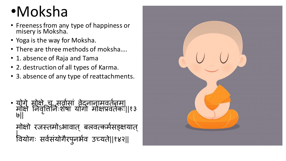# •Moksha

- Freeness from any type of happiness or misery is Moksha.
- Yoga is the way for Moksha.
- There are three methods of moksha….
- 1. absence of Raja and Tama
- 2. destruction of all types of Karma.
- 3. absence of any type of reattachments.

• योगे मोक्षे च सर्वासां वेदनानामवर्तनम्। मोक्षे निर्वृत्तिनिःशेषा योगो मोक्षप्रवर्तकः।|१३<br>' ७||

मोक्षो रजस्तमोऽभावात् बलवत्कर्मसङ्क्षयात् | वियोगः सर्वसर्यागैरपुनर्भव उच्यते||१४२||

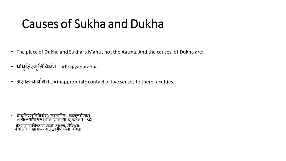# Causes of Sukha and Dukha

- The place of Dukha and Sukha Is Mana , not the Aatma. And the causes of Dukha are:-
- धीधृतिस्मृतिविभ्रंश....=Pragyaparadha
- असात्म्यार्थागम...= inappropriate contact of five senses to there faculties.

• धीधतिस्मृतिविभ्रंशः सम्प्राप्तिः कालकमेणाम्।<br>अस्तिप्राप्तः स्प्राप्तः स्पर्कतान् स्पर्कतान् ॥०॥ अर्सात्म्यांथोगमश्चेति ज्ञातव्या दुःखहेतवः||९८|| वेदनानामधिष्ठानं मनो देहश्च सेन्द्रियः| केशलोमनखाग्रान्नमलद्रवगुणीवेना||१३६||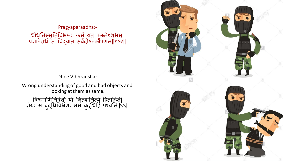Pragyaparaadha:- धीधृतिस्मृतिर्विभ्रष्टः कम् यत् कुरुतेऽशुभम्| प्रज्ञापराधं तं विद्यात् सर्वदोषप्रकौपणम्||१०२||

Dhee Vibhransha:-

Wrong understanding of good and bad objects and looking at them as same.

विषमाभिनिवेशो यो नित्यानित्ये हिताहिते| ज्ञेयः स बुद्धिविभ्रंशः सम बुद्धिर्हि पश्यति||९९||

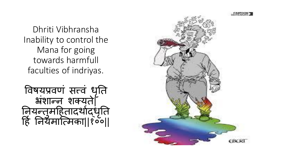Dhriti Vibhransha Inability to control the Mana for going towards harmfull faculties of indriyas.



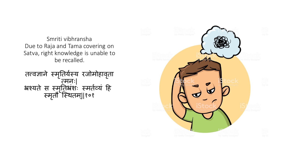Smriti vibhransha Due to Raja and Tama covering on Satva, right knowledge is unable to be recalled.

तत्त्वज्ञाने स्मृतियेस्य रजोमोहावृता त्मनः| भ्रश्यते स स्मृतिभ्रशः स्मतेव्यं हि स्मतृ ौ पस्र्तम||्१०१

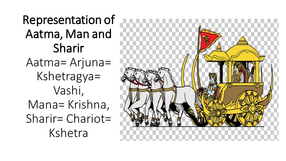Representation of Aatma, Man and Sharir Aatma= Arjuna= Kshetragya= Vashi, Mana= Krishna, Sharir= Chariot= Kshetra